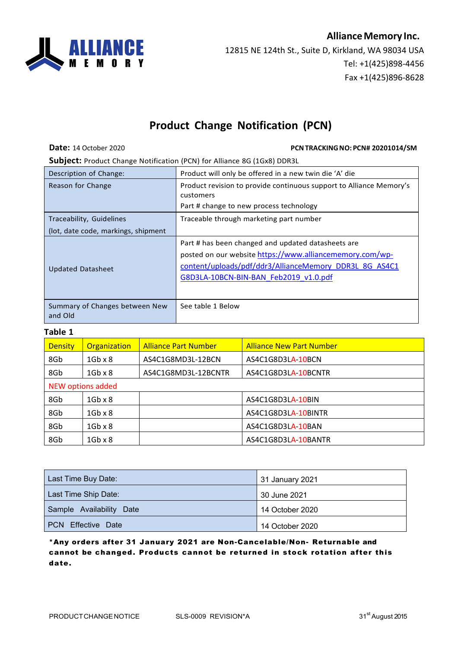## **AllianceMemory Inc.**



12815 NE 124th St., Suite D, Kirkland, WA 98034 USA Tel: +1(425)898-4456 Fax +1(425)896-8628

## **Product Change Notification (PCN)**

**Date:** 14 October 2020 **PCNTRACKING NO: PCN# 20201014/SM** 

**Subject:** Product Change Notification (PCN) for Alliance 8G (1Gx8) DDR3L

| Description of Change:                    | Product will only be offered in a new twin die 'A' die                                                                                                                                                            |
|-------------------------------------------|-------------------------------------------------------------------------------------------------------------------------------------------------------------------------------------------------------------------|
| Reason for Change                         | Product revision to provide continuous support to Alliance Memory's<br>customers                                                                                                                                  |
|                                           | Part # change to new process technology                                                                                                                                                                           |
| Traceability, Guidelines                  | Traceable through marketing part number                                                                                                                                                                           |
| (lot, date code, markings, shipment       |                                                                                                                                                                                                                   |
| <b>Updated Datasheet</b>                  | Part # has been changed and updated datasheets are<br>posted on our website https://www.alliancememory.com/wp-<br>content/uploads/pdf/ddr3/AllianceMemory DDR3L_8G AS4C1<br>G8D3LA-10BCN-BIN-BAN Feb2019 v1.0.pdf |
| Summary of Changes between New<br>and Old | See table 1 Below                                                                                                                                                                                                 |

## **Table 1**

| <b>Density</b>    | Organization   | <b>Alliance Part Number</b> | <b>Alliance New Part Number</b> |  |
|-------------------|----------------|-----------------------------|---------------------------------|--|
| 8Gb               | $1Gb \times 8$ | AS4C1G8MD3L-12BCN           | AS4C1G8D3LA-10BCN               |  |
| 8Gb               | $1Gb \times 8$ | AS4C1G8MD3L-12BCNTR         | AS4C1G8D3LA-10BCNTR             |  |
| NEW options added |                |                             |                                 |  |
| 8Gb               | $1Gb \times 8$ |                             | AS4C1G8D3LA-10BIN               |  |
| 8Gb               | $1Gb \times 8$ |                             | AS4C1G8D3LA-10BINTR             |  |
| 8Gb               | $1Gb \times 8$ |                             | AS4C1G8D3LA-10BAN               |  |
| 8Gb               | $1Gb \times 8$ |                             | AS4C1G8D3LA-10BANTR             |  |

| Last Time Buy Date:      | 31 January 2021 |
|--------------------------|-----------------|
| Last Time Ship Date:     | 30 June 2021    |
| Sample Availability Date | 14 October 2020 |
| I PCN Effective Date     | 14 October 2020 |

\*Any orders after 31 January 2021 are Non-Cancelable/Non- Returnable and cannot be changed. Products cannot be returned in stock rotation after this date.